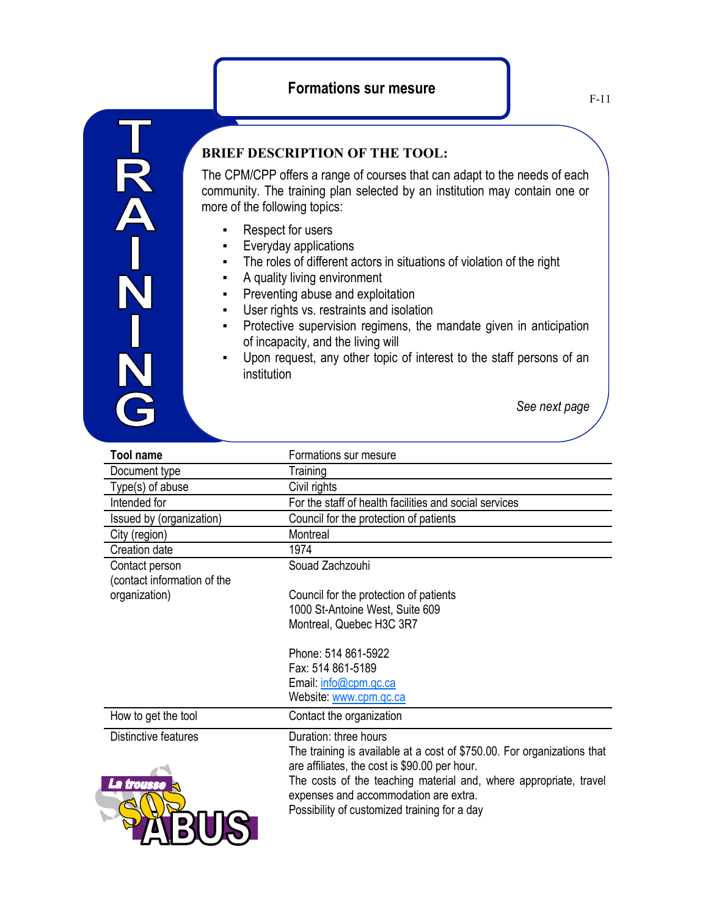

## **BRIEF DESCRIPTION OF THE TOOL:**

The CPM/CPP offers a range of courses that can adapt to the needs of each community. The training plan selected by an institution may contain one or more of the following topics:

- Respect for users
- Everyday applications
- **•** The roles of different actors in situations of violation of the right
- A quality living environment
- **•** Preventing abuse and exploitation
- User rights vs. restraints and isolation
- **•** Protective supervision regimens, the mandate given in anticipation of incapacity, and the living will
- Upon request, any other topic of interest to the staff persons of an institution

*See next page*

| <b>Tool name</b>            | Formations sur mesure                                                   |
|-----------------------------|-------------------------------------------------------------------------|
| Document type               | Training                                                                |
| Type(s) of abuse            | Civil rights                                                            |
| Intended for                | For the staff of health facilities and social services                  |
| Issued by (organization)    | Council for the protection of patients                                  |
| City (region)               | Montreal                                                                |
| Creation date               | 1974                                                                    |
| Contact person              | Souad Zachzouhi                                                         |
| (contact information of the |                                                                         |
| organization)               | Council for the protection of patients                                  |
|                             | 1000 St-Antoine West, Suite 609                                         |
|                             | Montreal, Quebec H3C 3R7                                                |
|                             |                                                                         |
|                             | Phone: 514 861-5922                                                     |
|                             | Fax: 514 861-5189                                                       |
|                             | Email: info@cpm.qc.ca                                                   |
|                             | Website: www.cpm.qc.ca                                                  |
| How to get the tool         | Contact the organization                                                |
| Distinctive features        | Duration: three hours                                                   |
|                             | The training is available at a cost of \$750.00. For organizations that |
|                             | are affiliates, the cost is \$90.00 per hour.                           |
| La trousse                  | The costs of the teaching material and, where appropriate, travel       |
|                             | expenses and accommodation are extra.                                   |
|                             | Possibility of customized training for a day                            |
|                             |                                                                         |
|                             |                                                                         |